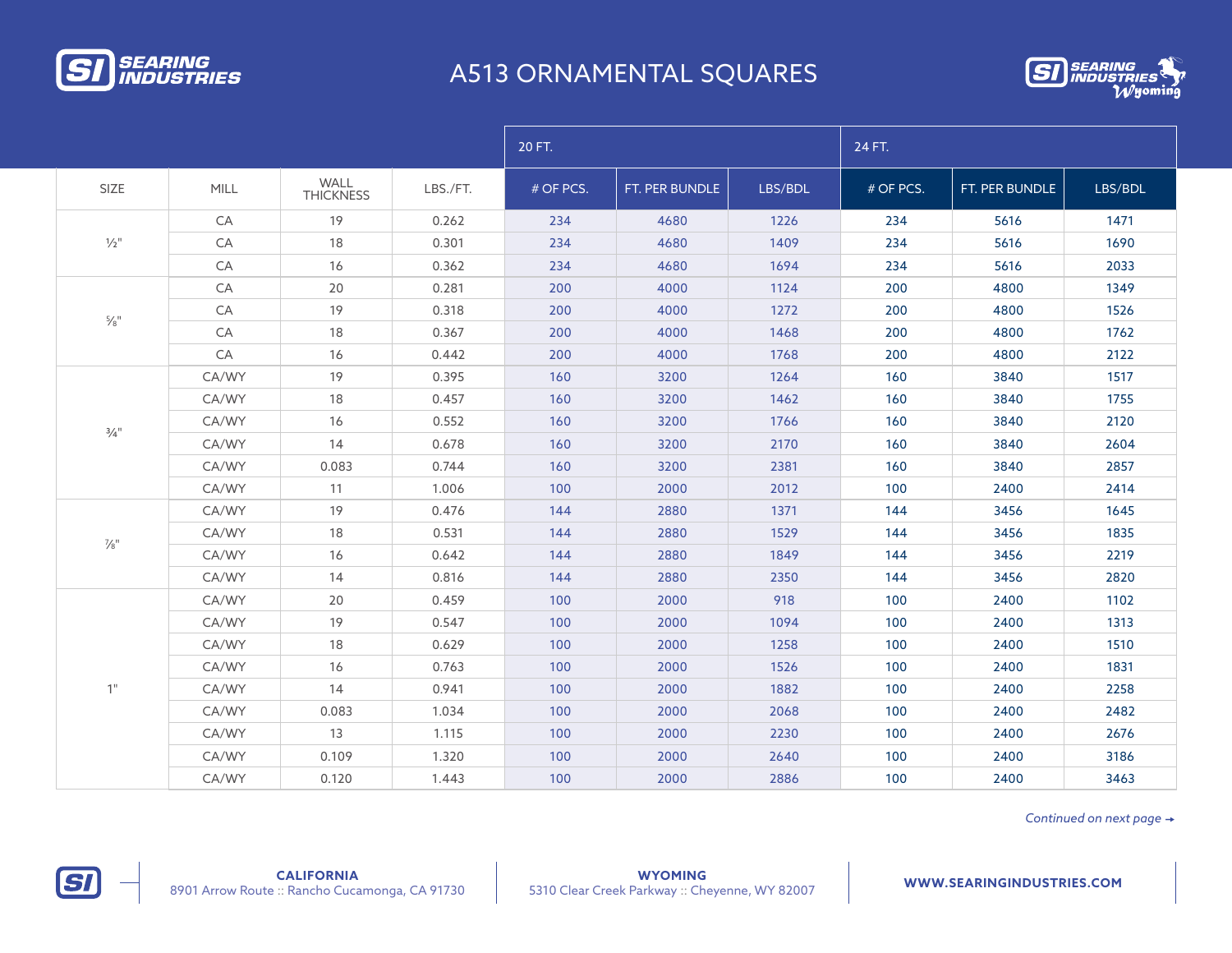

## A513 ORNAMENTAL SQUARES



|                             |             |                          |          | 20 FT.    |                |         | 24 FT.    |                |         |  |
|-----------------------------|-------------|--------------------------|----------|-----------|----------------|---------|-----------|----------------|---------|--|
| SIZE                        | <b>MILL</b> | WALL<br><b>THICKNESS</b> | LBS./FT. | # OF PCS. | FT. PER BUNDLE | LBS/BDL | # OF PCS. | FT. PER BUNDLE | LBS/BDL |  |
| $\frac{1}{2}$ "             | CA          | 19                       | 0.262    | 234       | 4680           | 1226    | 234       | 5616           | 1471    |  |
|                             | CA          | 18                       | 0.301    | 234       | 4680           | 1409    | 234       | 5616           | 1690    |  |
|                             | CA          | 16                       | 0.362    | 234       | 4680           | 1694    | 234       | 5616           | 2033    |  |
| $\frac{5}{8}$ <sup>11</sup> | CA          | 20                       | 0.281    | 200       | 4000           | 1124    | 200       | 4800           | 1349    |  |
|                             | CA          | 19                       | 0.318    | 200       | 4000           | 1272    | 200       | 4800           | 1526    |  |
|                             | CA          | 18                       | 0.367    | 200       | 4000           | 1468    | 200       | 4800           | 1762    |  |
|                             | CA          | 16                       | 0.442    | 200       | 4000           | 1768    | 200       | 4800           | 2122    |  |
| $\frac{3}{4}$ "             | CA/WY       | 19                       | 0.395    | 160       | 3200           | 1264    | 160       | 3840           | 1517    |  |
|                             | CA/WY       | 18                       | 0.457    | 160       | 3200           | 1462    | 160       | 3840           | 1755    |  |
|                             | CA/WY       | 16                       | 0.552    | 160       | 3200           | 1766    | 160       | 3840           | 2120    |  |
|                             | CA/WY       | 14                       | 0.678    | 160       | 3200           | 2170    | 160       | 3840           | 2604    |  |
|                             | CA/WY       | 0.083                    | 0.744    | 160       | 3200           | 2381    | 160       | 3840           | 2857    |  |
|                             | CA/WY       | 11                       | 1.006    | 100       | 2000           | 2012    | 100       | 2400           | 2414    |  |
|                             | CA/WY       | 19                       | 0.476    | 144       | 2880           | 1371    | 144       | 3456           | 1645    |  |
| $\frac{7}{8}$ "             | CA/WY       | 18                       | 0.531    | 144       | 2880           | 1529    | 144       | 3456           | 1835    |  |
|                             | CA/WY       | 16                       | 0.642    | 144       | 2880           | 1849    | 144       | 3456           | 2219    |  |
|                             | CA/WY       | 14                       | 0.816    | 144       | 2880           | 2350    | 144       | 3456           | 2820    |  |
| 1"                          | CA/WY       | 20                       | 0.459    | 100       | 2000           | 918     | 100       | 2400           | 1102    |  |
|                             | CA/WY       | 19                       | 0.547    | 100       | 2000           | 1094    | 100       | 2400           | 1313    |  |
|                             | CA/WY       | 18                       | 0.629    | 100       | 2000           | 1258    | 100       | 2400           | 1510    |  |
|                             | CA/WY       | 16                       | 0.763    | 100       | 2000           | 1526    | 100       | 2400           | 1831    |  |
|                             | CA/WY       | 14                       | 0.941    | 100       | 2000           | 1882    | 100       | 2400           | 2258    |  |
|                             | CA/WY       | 0.083                    | 1.034    | 100       | 2000           | 2068    | 100       | 2400           | 2482    |  |
|                             | CA/WY       | 13                       | 1.115    | 100       | 2000           | 2230    | 100       | 2400           | 2676    |  |
|                             | CA/WY       | 0.109                    | 1.320    | 100       | 2000           | 2640    | 100       | 2400           | 3186    |  |
|                             | CA/WY       | 0.120                    | 1.443    | 100       | 2000           | 2886    | 100       | 2400           | 3463    |  |

*Continued on next page*